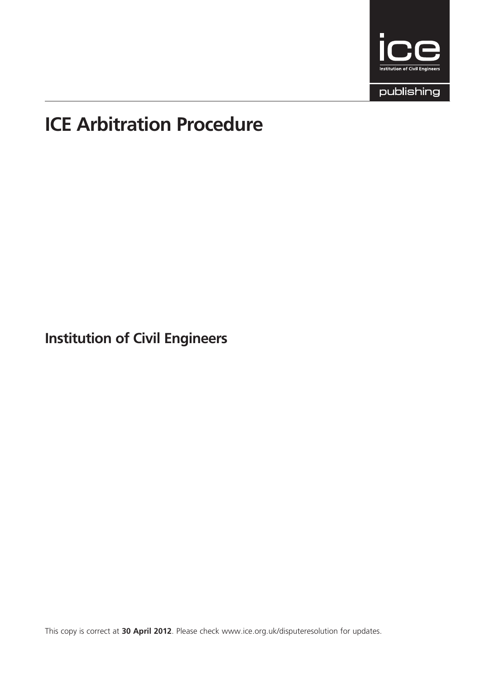

publishing

# ICE Arbitration Procedure

Institution of Civil Engineers

This copy is correct at 30 April 2012. Please check www.ice.org.uk/disputeresolution for updates.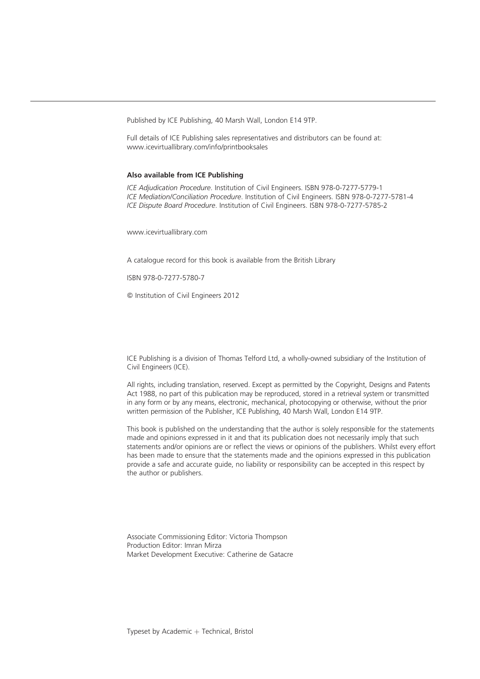Published by ICE Publishing, 40 Marsh Wall, London E14 9TP.

Full details of ICE Publishing sales representatives and distributors can be found at: www.icevirtuallibrary.com/info/printbooksales

#### Also available from ICE Publishing

ICE Adjudication Procedure. Institution of Civil Engineers. ISBN 978-0-7277-5779-1 ICE Mediation/Conciliation Procedure. Institution of Civil Engineers. ISBN 978-0-7277-5781-4 ICE Dispute Board Procedure. Institution of Civil Engineers. ISBN 978-0-7277-5785-2

www.icevirtuallibrary.com

A catalogue record for this book is available from the British Library

ISBN 978-0-7277-5780-7

 $\circ$  Institution of Civil Engineers 2012

ICE Publishing is a division of Thomas Telford Ltd, a wholly-owned subsidiary of the Institution of Civil Engineers (ICE).

All rights, including translation, reserved. Except as permitted by the Copyright, Designs and Patents Act 1988, no part of this publication may be reproduced, stored in a retrieval system or transmitted in any form or by any means, electronic, mechanical, photocopying or otherwise, without the prior written permission of the Publisher, ICE Publishing, 40 Marsh Wall, London E14 9TP.

This book is published on the understanding that the author is solely responsible for the statements made and opinions expressed in it and that its publication does not necessarily imply that such statements and/or opinions are or reflect the views or opinions of the publishers. Whilst every effort has been made to ensure that the statements made and the opinions expressed in this publication provide a safe and accurate guide, no liability or responsibility can be accepted in this respect by the author or publishers.

Associate Commissioning Editor: Victoria Thompson Production Editor: Imran Mirza Market Development Executive: Catherine de Gatacre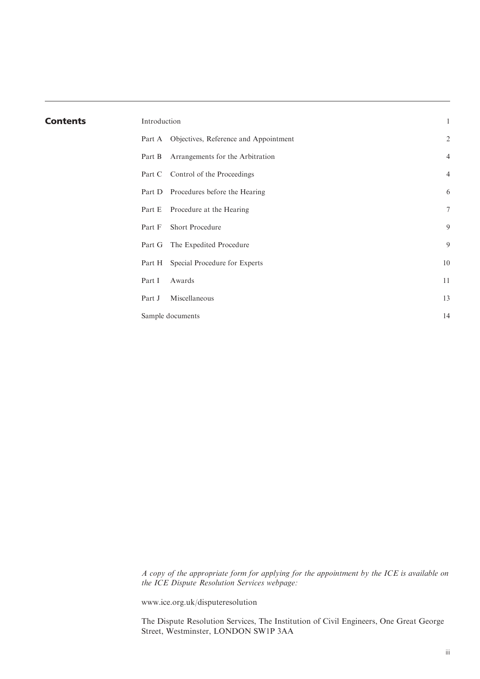| <b>Contents</b> | Introduction |                                              | 1                |
|-----------------|--------------|----------------------------------------------|------------------|
|                 |              | Part A Objectives, Reference and Appointment | $\overline{2}$   |
|                 | Part B       | Arrangements for the Arbitration             | $\overline{4}$   |
|                 | Part C       | Control of the Proceedings                   | $\overline{4}$   |
|                 |              | Part D Procedures before the Hearing         | 6                |
|                 | Part E       | Procedure at the Hearing                     | $\boldsymbol{7}$ |
|                 | Part F       | Short Procedure                              | 9                |
|                 | Part G       | The Expedited Procedure                      | 9                |
|                 |              | Part H Special Procedure for Experts         | 10               |
|                 | Part I       | Awards                                       | 11               |
|                 | Part J       | Miscellaneous                                | 13               |
|                 |              | Sample documents                             | 14               |
|                 |              |                                              |                  |

A copy of the appropriate form for applying for the appointment by the ICE is available on the ICE Dispute Resolution Services webpage:

www.ice.org.uk/disputeresolution

The Dispute Resolution Services, The Institution of Civil Engineers, One Great George Street, Westminster, LONDON SW1P 3AA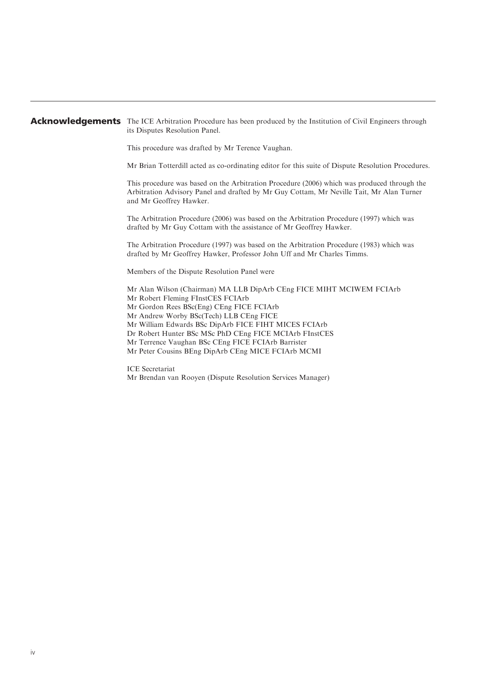#### Acknowledgements The ICE Arbitration Procedure has been produced by the Institution of Civil Engineers through its Disputes Resolution Panel.

This procedure was drafted by Mr Terence Vaughan.

Mr Brian Totterdill acted as co-ordinating editor for this suite of Dispute Resolution Procedures.

This procedure was based on the Arbitration Procedure (2006) which was produced through the Arbitration Advisory Panel and drafted by Mr Guy Cottam, Mr Neville Tait, Mr Alan Turner and Mr Geoffrey Hawker.

The Arbitration Procedure (2006) was based on the Arbitration Procedure (1997) which was drafted by Mr Guy Cottam with the assistance of Mr Geoffrey Hawker.

The Arbitration Procedure (1997) was based on the Arbitration Procedure (1983) which was drafted by Mr Geoffrey Hawker, Professor John Uff and Mr Charles Timms.

Members of the Dispute Resolution Panel were

Mr Alan Wilson (Chairman) MA LLB DipArb CEng FICE MIHT MCIWEM FCIArb Mr Robert Fleming FInstCES FCIArb Mr Gordon Rees BSc(Eng) CEng FICE FCIArb Mr Andrew Worby BSc(Tech) LLB CEng FICE Mr William Edwards BSc DipArb FICE FIHT MICES FCIArb Dr Robert Hunter BSc MSc PhD CEng FICE MCIArb FInstCES Mr Terrence Vaughan BSc CEng FICE FCIArb Barrister Mr Peter Cousins BEng DipArb CEng MICE FCIArb MCMI

ICE Secretariat Mr Brendan van Rooyen (Dispute Resolution Services Manager)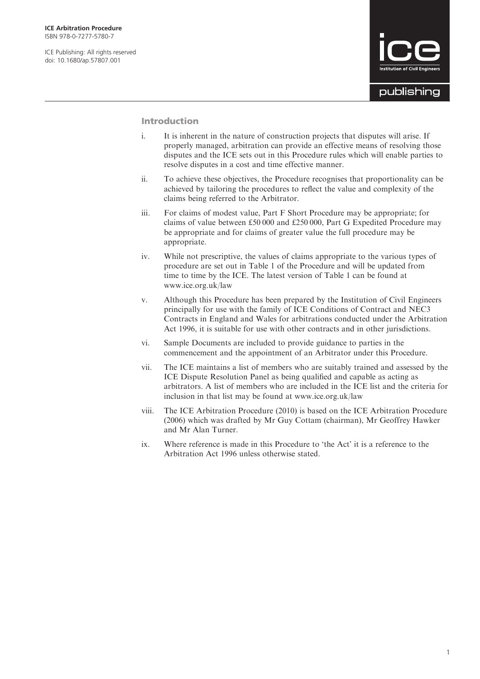ICE Publishing: All rights reserved doi: 10.1680/ap.57807.001



### Introduction

- i. It is inherent in the nature of construction projects that disputes will arise. If properly managed, arbitration can provide an effective means of resolving those disputes and the ICE sets out in this Procedure rules which will enable parties to resolve disputes in a cost and time effective manner.
- ii. To achieve these objectives, the Procedure recognises that proportionality can be achieved by tailoring the procedures to reflect the value and complexity of the claims being referred to the Arbitrator.
- iii. For claims of modest value, Part F Short Procedure may be appropriate; for claims of value between £50 000 and £250 000, Part G Expedited Procedure may be appropriate and for claims of greater value the full procedure may be appropriate.
- iv. While not prescriptive, the values of claims appropriate to the various types of procedure are set out in Table 1 of the Procedure and will be updated from time to time by the ICE. The latest version of Table 1 can be found at www.ice.org.uk/law
- v. Although this Procedure has been prepared by the Institution of Civil Engineers principally for use with the family of ICE Conditions of Contract and NEC3 Contracts in England and Wales for arbitrations conducted under the Arbitration Act 1996, it is suitable for use with other contracts and in other jurisdictions.
- vi. Sample Documents are included to provide guidance to parties in the commencement and the appointment of an Arbitrator under this Procedure.
- vii. The ICE maintains a list of members who are suitably trained and assessed by the ICE Dispute Resolution Panel as being qualified and capable as acting as arbitrators. A list of members who are included in the ICE list and the criteria for inclusion in that list may be found at www.ice.org.uk/law
- viii. The ICE Arbitration Procedure (2010) is based on the ICE Arbitration Procedure (2006) which was drafted by Mr Guy Cottam (chairman), Mr Geoffrey Hawker and Mr Alan Turner.
- ix. Where reference is made in this Procedure to 'the Act' it is a reference to the Arbitration Act 1996 unless otherwise stated.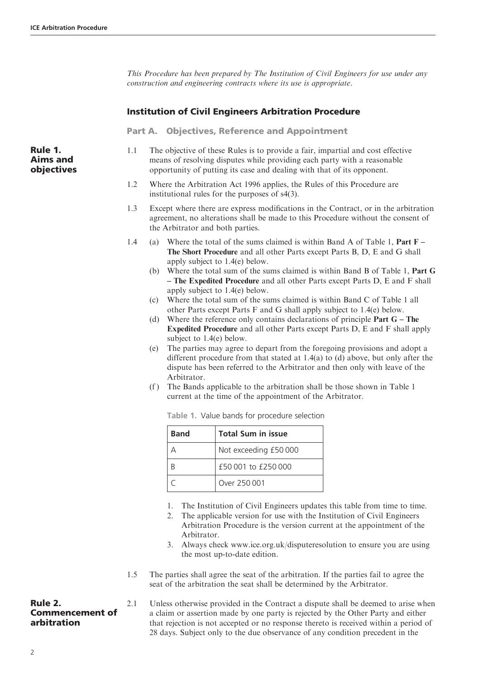This Procedure has been prepared by The Institution of Civil Engineers for use under any construction and engineering contracts where its use is appropriate.

## Institution of Civil Engineers Arbitration Procedure

Part A. Objectives, Reference and Appointment

- 1.1 The objective of these Rules is to provide a fair, impartial and cost effective means of resolving disputes while providing each party with a reasonable opportunity of putting its case and dealing with that of its opponent.
- 1.2 Where the Arbitration Act 1996 applies, the Rules of this Procedure are institutional rules for the purposes of s4(3).
- 1.3 Except where there are express modifications in the Contract, or in the arbitration agreement, no alterations shall be made to this Procedure without the consent of the Arbitrator and both parties.
- 1.4 (a) Where the total of the sums claimed is within Band A of Table 1, Part  $\mathbf{F}$  The Short Procedure and all other Parts except Parts B, D, E and G shall apply subject to 1.4(e) below.
	- (b) Where the total sum of the sums claimed is within Band B of Table 1, Part G – The Expedited Procedure and all other Parts except Parts D, E and F shall apply subject to 1.4(e) below.
	- (c) Where the total sum of the sums claimed is within Band C of Table 1 all other Parts except Parts F and G shall apply subject to 1.4(e) below.
	- (d) Where the reference only contains declarations of principle **Part**  $G The$ Expedited Procedure and all other Parts except Parts D, E and F shall apply subject to 1.4(e) below.
	- (e) The parties may agree to depart from the foregoing provisions and adopt a different procedure from that stated at 1.4(a) to (d) above, but only after the dispute has been referred to the Arbitrator and then only with leave of the Arbitrator.
	- (f ) The Bands applicable to the arbitration shall be those shown in Table 1 current at the time of the appointment of the Arbitrator.

| <b>Band</b> | <b>Total Sum in issue</b> |
|-------------|---------------------------|
|             | Not exceeding £50 000     |
|             | £50,001 to £250,000       |
|             | Over 250 001              |

Table 1. Value bands for procedure selection

- 1. The Institution of Civil Engineers updates this table from time to time.
- 2. The applicable version for use with the Institution of Civil Engineers Arbitration Procedure is the version current at the appointment of the Arbitrator.
- 3. Always check www.ice.org.uk/disputeresolution to ensure you are using the most up-to-date edition.
- 1.5 The parties shall agree the seat of the arbitration. If the parties fail to agree the seat of the arbitration the seat shall be determined by the Arbitrator.
- 2.1 Unless otherwise provided in the Contract a dispute shall be deemed to arise when a claim or assertion made by one party is rejected by the Other Party and either that rejection is not accepted or no response thereto is received within a period of 28 days. Subject only to the due observance of any condition precedent in the

Rule 1. Aims and objectives

Rule 2.

arbitration

Commencement of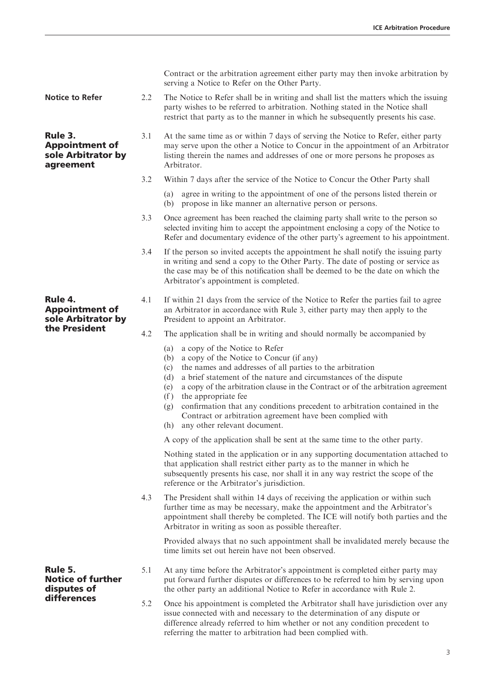|                                                                     |               | Contract or the arbitration agreement either party may then invoke arbitration by<br>serving a Notice to Refer on the Other Party.                                                                                                                                                                                                                                                                                                                                                                                                                      |
|---------------------------------------------------------------------|---------------|---------------------------------------------------------------------------------------------------------------------------------------------------------------------------------------------------------------------------------------------------------------------------------------------------------------------------------------------------------------------------------------------------------------------------------------------------------------------------------------------------------------------------------------------------------|
| <b>Notice to Refer</b>                                              | $2.2^{\circ}$ | The Notice to Refer shall be in writing and shall list the matters which the issuing<br>party wishes to be referred to arbitration. Nothing stated in the Notice shall<br>restrict that party as to the manner in which he subsequently presents his case.                                                                                                                                                                                                                                                                                              |
| Rule 3.<br><b>Appointment of</b><br>sole Arbitrator by<br>agreement | 3.1           | At the same time as or within 7 days of serving the Notice to Refer, either party<br>may serve upon the other a Notice to Concur in the appointment of an Arbitrator<br>listing therein the names and addresses of one or more persons he proposes as<br>Arbitrator.                                                                                                                                                                                                                                                                                    |
|                                                                     | 3.2           | Within 7 days after the service of the Notice to Concur the Other Party shall                                                                                                                                                                                                                                                                                                                                                                                                                                                                           |
|                                                                     |               | agree in writing to the appointment of one of the persons listed therein or<br>(a)<br>(b) propose in like manner an alternative person or persons.                                                                                                                                                                                                                                                                                                                                                                                                      |
|                                                                     | 3.3           | Once agreement has been reached the claiming party shall write to the person so<br>selected inviting him to accept the appointment enclosing a copy of the Notice to<br>Refer and documentary evidence of the other party's agreement to his appointment.                                                                                                                                                                                                                                                                                               |
|                                                                     | 3.4           | If the person so invited accepts the appointment he shall notify the issuing party<br>in writing and send a copy to the Other Party. The date of posting or service as<br>the case may be of this notification shall be deemed to be the date on which the<br>Arbitrator's appointment is completed.                                                                                                                                                                                                                                                    |
| Rule 4.<br><b>Appointment of</b><br>sole Arbitrator by              | 4.1           | If within 21 days from the service of the Notice to Refer the parties fail to agree<br>an Arbitrator in accordance with Rule 3, either party may then apply to the<br>President to appoint an Arbitrator.                                                                                                                                                                                                                                                                                                                                               |
| the President                                                       | 4.2           | The application shall be in writing and should normally be accompanied by                                                                                                                                                                                                                                                                                                                                                                                                                                                                               |
|                                                                     |               | a copy of the Notice to Refer<br>(a)<br>a copy of the Notice to Concur (if any)<br>(b)<br>the names and addresses of all parties to the arbitration<br>(c)<br>a brief statement of the nature and circumstances of the dispute<br>(d)<br>a copy of the arbitration clause in the Contract or of the arbitration agreement<br>(e)<br>the appropriate fee<br>(f)<br>confirmation that any conditions precedent to arbitration contained in the<br>(g)<br>Contract or arbitration agreement have been complied with<br>(h)<br>any other relevant document. |
|                                                                     |               | A copy of the application shall be sent at the same time to the other party.                                                                                                                                                                                                                                                                                                                                                                                                                                                                            |
|                                                                     |               | Nothing stated in the application or in any supporting documentation attached to<br>that application shall restrict either party as to the manner in which he<br>subsequently presents his case, nor shall it in any way restrict the scope of the<br>reference or the Arbitrator's jurisdiction.                                                                                                                                                                                                                                                       |
|                                                                     | 4.3           | The President shall within 14 days of receiving the application or within such<br>further time as may be necessary, make the appointment and the Arbitrator's<br>appointment shall thereby be completed. The ICE will notify both parties and the<br>Arbitrator in writing as soon as possible thereafter.                                                                                                                                                                                                                                              |
|                                                                     |               | Provided always that no such appointment shall be invalidated merely because the<br>time limits set out herein have not been observed.                                                                                                                                                                                                                                                                                                                                                                                                                  |
| Rule 5.<br><b>Notice of further</b><br>disputes of                  | 5.1           | At any time before the Arbitrator's appointment is completed either party may<br>put forward further disputes or differences to be referred to him by serving upon<br>the other party an additional Notice to Refer in accordance with Rule 2.                                                                                                                                                                                                                                                                                                          |
| differences                                                         | 5.2           | Once his appointment is completed the Arbitrator shall have jurisdiction over any<br>issue connected with and necessary to the determination of any dispute or<br>difference already referred to him whether or not any condition precedent to<br>referring the matter to arbitration had been complied with.                                                                                                                                                                                                                                           |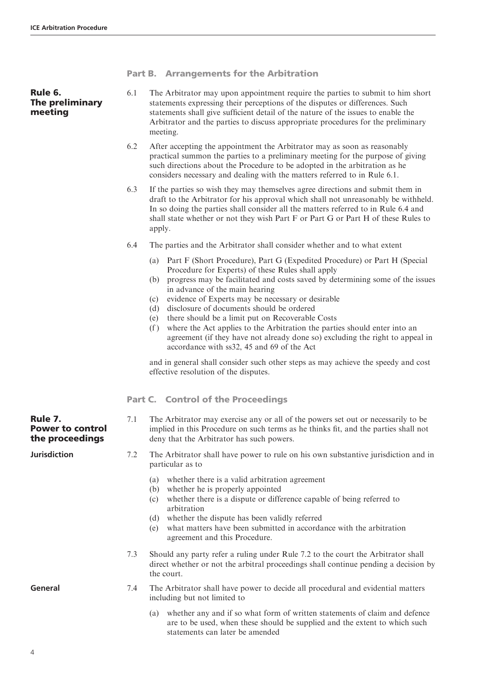The preliminary

Rule 6.

meeting

# Part B. Arrangements for the Arbitration

6.1 The Arbitrator may upon appointment require the parties to submit to him short statements expressing their perceptions of the disputes or differences. Such statements shall give sufficient detail of the nature of the issues to enable the Arbitrator and the parties to discuss appropriate procedures for the preliminary

|                                                       |     | meeting.                                                                                                                                                                                                                                                                                                                                                                                                                                                                                                                                                                                                                                                      |
|-------------------------------------------------------|-----|---------------------------------------------------------------------------------------------------------------------------------------------------------------------------------------------------------------------------------------------------------------------------------------------------------------------------------------------------------------------------------------------------------------------------------------------------------------------------------------------------------------------------------------------------------------------------------------------------------------------------------------------------------------|
|                                                       | 6.2 | After accepting the appointment the Arbitrator may as soon as reasonably<br>practical summon the parties to a preliminary meeting for the purpose of giving<br>such directions about the Procedure to be adopted in the arbitration as he<br>considers necessary and dealing with the matters referred to in Rule 6.1.                                                                                                                                                                                                                                                                                                                                        |
|                                                       | 6.3 | If the parties so wish they may themselves agree directions and submit them in<br>draft to the Arbitrator for his approval which shall not unreasonably be withheld.<br>In so doing the parties shall consider all the matters referred to in Rule 6.4 and<br>shall state whether or not they wish Part F or Part G or Part H of these Rules to<br>apply.                                                                                                                                                                                                                                                                                                     |
|                                                       | 6.4 | The parties and the Arbitrator shall consider whether and to what extent                                                                                                                                                                                                                                                                                                                                                                                                                                                                                                                                                                                      |
|                                                       |     | Part F (Short Procedure), Part G (Expedited Procedure) or Part H (Special<br>(a)<br>Procedure for Experts) of these Rules shall apply<br>progress may be facilitated and costs saved by determining some of the issues<br>(b)<br>in advance of the main hearing<br>evidence of Experts may be necessary or desirable<br>(c)<br>disclosure of documents should be ordered<br>(d)<br>there should be a limit put on Recoverable Costs<br>(e)<br>where the Act applies to the Arbitration the parties should enter into an<br>(f)<br>agreement (if they have not already done so) excluding the right to appeal in<br>accordance with ss32, 45 and 69 of the Act |
|                                                       |     | and in general shall consider such other steps as may achieve the speedy and cost<br>effective resolution of the disputes.<br><b>Part C. Control of the Proceedings</b>                                                                                                                                                                                                                                                                                                                                                                                                                                                                                       |
| Rule 7.<br><b>Power to control</b><br>the proceedings | 7.1 | The Arbitrator may exercise any or all of the powers set out or necessarily to be<br>implied in this Procedure on such terms as he thinks fit, and the parties shall not<br>deny that the Arbitrator has such powers.                                                                                                                                                                                                                                                                                                                                                                                                                                         |
| <b>Jurisdiction</b>                                   | 7.2 | The Arbitrator shall have power to rule on his own substantive jurisdiction and in<br>particular as to                                                                                                                                                                                                                                                                                                                                                                                                                                                                                                                                                        |
|                                                       |     | (a) whether there is a valid arbitration agreement<br>(b) whether he is properly appointed<br>whether there is a dispute or difference capable of being referred to<br>(c)<br>arbitration<br>whether the dispute has been validly referred<br>(d)<br>what matters have been submitted in accordance with the arbitration<br>(e)<br>agreement and this Procedure.                                                                                                                                                                                                                                                                                              |
|                                                       | 7.3 | Should any party refer a ruling under Rule 7.2 to the court the Arbitrator shall<br>direct whether or not the arbitral proceedings shall continue pending a decision by<br>the court.                                                                                                                                                                                                                                                                                                                                                                                                                                                                         |
| General                                               | 7.4 | The Arbitrator shall have power to decide all procedural and evidential matters<br>including but not limited to                                                                                                                                                                                                                                                                                                                                                                                                                                                                                                                                               |
|                                                       |     | whether any and if so what form of written statements of claim and defence<br>(a)<br>are to be used, when these should be supplied and the extent to which such                                                                                                                                                                                                                                                                                                                                                                                                                                                                                               |

statements can later be amended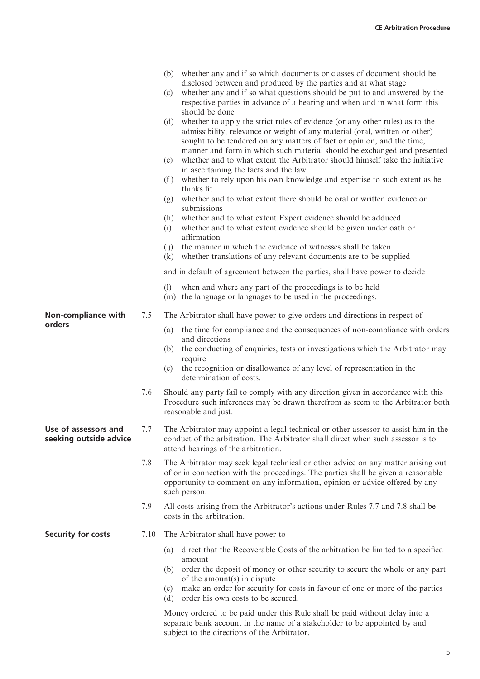|                                                |      | (b) whether any and if so which documents or classes of document should be<br>disclosed between and produced by the parties and at what stage<br>whether any and if so what questions should be put to and answered by the<br>(c)<br>respective parties in advance of a hearing and when and in what form this<br>should be done<br>whether to apply the strict rules of evidence (or any other rules) as to the<br>(d)<br>admissibility, relevance or weight of any material (oral, written or other)<br>sought to be tendered on any matters of fact or opinion, and the time,<br>manner and form in which such material should be exchanged and presented<br>whether and to what extent the Arbitrator should himself take the initiative<br>(e)<br>in ascertaining the facts and the law<br>(f) whether to rely upon his own knowledge and expertise to such extent as he<br>thinks fit<br>whether and to what extent there should be oral or written evidence or<br>(g)<br>submissions<br>whether and to what extent Expert evidence should be adduced<br>(h)<br>whether and to what extent evidence should be given under oath or<br>(i)<br>affirmation<br>the manner in which the evidence of witnesses shall be taken<br>(j)<br>whether translations of any relevant documents are to be supplied<br>(k)<br>and in default of agreement between the parties, shall have power to decide<br>when and where any part of the proceedings is to be held<br>(1)<br>(m) the language or languages to be used in the proceedings. |
|------------------------------------------------|------|------------------------------------------------------------------------------------------------------------------------------------------------------------------------------------------------------------------------------------------------------------------------------------------------------------------------------------------------------------------------------------------------------------------------------------------------------------------------------------------------------------------------------------------------------------------------------------------------------------------------------------------------------------------------------------------------------------------------------------------------------------------------------------------------------------------------------------------------------------------------------------------------------------------------------------------------------------------------------------------------------------------------------------------------------------------------------------------------------------------------------------------------------------------------------------------------------------------------------------------------------------------------------------------------------------------------------------------------------------------------------------------------------------------------------------------------------------------------------------------------------------------------------------|
| Non-compliance with                            | 7.5  | The Arbitrator shall have power to give orders and directions in respect of                                                                                                                                                                                                                                                                                                                                                                                                                                                                                                                                                                                                                                                                                                                                                                                                                                                                                                                                                                                                                                                                                                                                                                                                                                                                                                                                                                                                                                                        |
| orders                                         |      | the time for compliance and the consequences of non-compliance with orders<br>(a)                                                                                                                                                                                                                                                                                                                                                                                                                                                                                                                                                                                                                                                                                                                                                                                                                                                                                                                                                                                                                                                                                                                                                                                                                                                                                                                                                                                                                                                  |
|                                                |      | and directions<br>the conducting of enquiries, tests or investigations which the Arbitrator may<br>(b)<br>require<br>the recognition or disallowance of any level of representation in the<br>(c)                                                                                                                                                                                                                                                                                                                                                                                                                                                                                                                                                                                                                                                                                                                                                                                                                                                                                                                                                                                                                                                                                                                                                                                                                                                                                                                                  |
|                                                |      | determination of costs.                                                                                                                                                                                                                                                                                                                                                                                                                                                                                                                                                                                                                                                                                                                                                                                                                                                                                                                                                                                                                                                                                                                                                                                                                                                                                                                                                                                                                                                                                                            |
|                                                | 7.6  | Should any party fail to comply with any direction given in accordance with this<br>Procedure such inferences may be drawn therefrom as seem to the Arbitrator both<br>reasonable and just.                                                                                                                                                                                                                                                                                                                                                                                                                                                                                                                                                                                                                                                                                                                                                                                                                                                                                                                                                                                                                                                                                                                                                                                                                                                                                                                                        |
| Use of assessors and<br>seeking outside advice | 7.7  | The Arbitrator may appoint a legal technical or other assessor to assist him in the<br>conduct of the arbitration. The Arbitrator shall direct when such assessor is to<br>attend hearings of the arbitration.                                                                                                                                                                                                                                                                                                                                                                                                                                                                                                                                                                                                                                                                                                                                                                                                                                                                                                                                                                                                                                                                                                                                                                                                                                                                                                                     |
|                                                | 7.8  | The Arbitrator may seek legal technical or other advice on any matter arising out<br>of or in connection with the proceedings. The parties shall be given a reasonable<br>opportunity to comment on any information, opinion or advice offered by any<br>such person.                                                                                                                                                                                                                                                                                                                                                                                                                                                                                                                                                                                                                                                                                                                                                                                                                                                                                                                                                                                                                                                                                                                                                                                                                                                              |
|                                                | 7.9  | All costs arising from the Arbitrator's actions under Rules 7.7 and 7.8 shall be<br>costs in the arbitration.                                                                                                                                                                                                                                                                                                                                                                                                                                                                                                                                                                                                                                                                                                                                                                                                                                                                                                                                                                                                                                                                                                                                                                                                                                                                                                                                                                                                                      |
| <b>Security for costs</b>                      | 7.10 | The Arbitrator shall have power to                                                                                                                                                                                                                                                                                                                                                                                                                                                                                                                                                                                                                                                                                                                                                                                                                                                                                                                                                                                                                                                                                                                                                                                                                                                                                                                                                                                                                                                                                                 |
|                                                |      | direct that the Recoverable Costs of the arbitration be limited to a specified<br>(a)                                                                                                                                                                                                                                                                                                                                                                                                                                                                                                                                                                                                                                                                                                                                                                                                                                                                                                                                                                                                                                                                                                                                                                                                                                                                                                                                                                                                                                              |
|                                                |      | amount<br>order the deposit of money or other security to secure the whole or any part<br>(b)<br>of the amount(s) in dispute                                                                                                                                                                                                                                                                                                                                                                                                                                                                                                                                                                                                                                                                                                                                                                                                                                                                                                                                                                                                                                                                                                                                                                                                                                                                                                                                                                                                       |
|                                                |      | make an order for security for costs in favour of one or more of the parties<br>(c)<br>(d) order his own costs to be secured.                                                                                                                                                                                                                                                                                                                                                                                                                                                                                                                                                                                                                                                                                                                                                                                                                                                                                                                                                                                                                                                                                                                                                                                                                                                                                                                                                                                                      |
|                                                |      | Money ordered to be paid under this Rule shall be paid without delay into a                                                                                                                                                                                                                                                                                                                                                                                                                                                                                                                                                                                                                                                                                                                                                                                                                                                                                                                                                                                                                                                                                                                                                                                                                                                                                                                                                                                                                                                        |

separate bank account in the name of a stakeholder to be appointed by and

subject to the directions of the Arbitrator.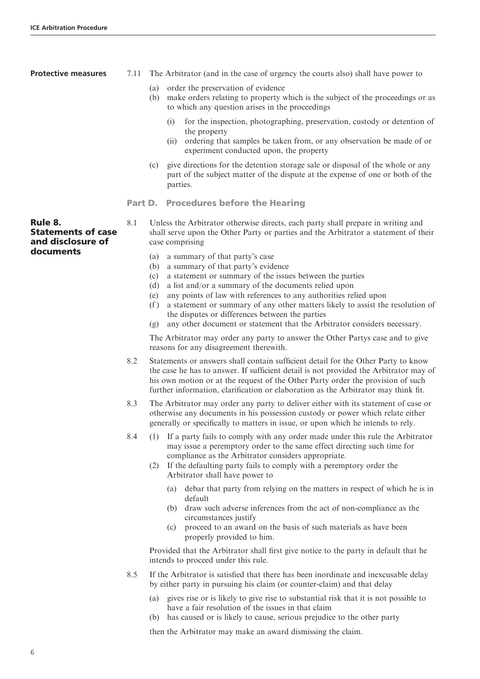**Protective measures** 7.11 The Arbitrator (and in the case of urgency the courts also) shall have power to (a) order the preservation of evidence (b) make orders relating to property which is the subject of the proceedings or as to which any question arises in the proceedings (i) for the inspection, photographing, preservation, custody or detention of the property (ii) ordering that samples be taken from, or any observation be made of or experiment conducted upon, the property (c) give directions for the detention storage sale or disposal of the whole or any part of the subject matter of the dispute at the expense of one or both of the parties. Part D. Procedures before the Hearing

8.1 Unless the Arbitrator otherwise directs, each party shall prepare in writing and shall serve upon the Other Party or parties and the Arbitrator a statement of their case comprising

- (a) a summary of that party's case
- (b) a summary of that party's evidence
- (c) a statement or summary of the issues between the parties
- (d) a list and/or a summary of the documents relied upon
- (e) any points of law with references to any authorities relied upon
- (f ) a statement or summary of any other matters likely to assist the resolution of the disputes or differences between the parties
- (g) any other document or statement that the Arbitrator considers necessary.

The Arbitrator may order any party to answer the Other Partys case and to give reasons for any disagreement therewith.

- 8.2 Statements or answers shall contain sufficient detail for the Other Party to know the case he has to answer. If sufficient detail is not provided the Arbitrator may of his own motion or at the request of the Other Party order the provision of such further information, clarification or elaboration as the Arbitrator may think fit.
- 8.3 The Arbitrator may order any party to deliver either with its statement of case or otherwise any documents in his possession custody or power which relate either generally or specifically to matters in issue, or upon which he intends to rely.
- 8.4 (1) If a party fails to comply with any order made under this rule the Arbitrator may issue a peremptory order to the same effect directing such time for compliance as the Arbitrator considers appropriate.
	- (2) If the defaulting party fails to comply with a peremptory order the Arbitrator shall have power to
		- (a) debar that party from relying on the matters in respect of which he is in default
		- (b) draw such adverse inferences from the act of non-compliance as the circumstances justify
		- (c) proceed to an award on the basis of such materials as have been properly provided to him.

Provided that the Arbitrator shall first give notice to the party in default that he intends to proceed under this rule.

- 8.5 If the Arbitrator is satisfied that there has been inordinate and inexcusable delay by either party in pursuing his claim (or counter-claim) and that delay
	- (a) gives rise or is likely to give rise to substantial risk that it is not possible to have a fair resolution of the issues in that claim
	- (b) has caused or is likely to cause, serious prejudice to the other party

then the Arbitrator may make an award dismissing the claim.

Rule 8. Statements of case and disclosure of documents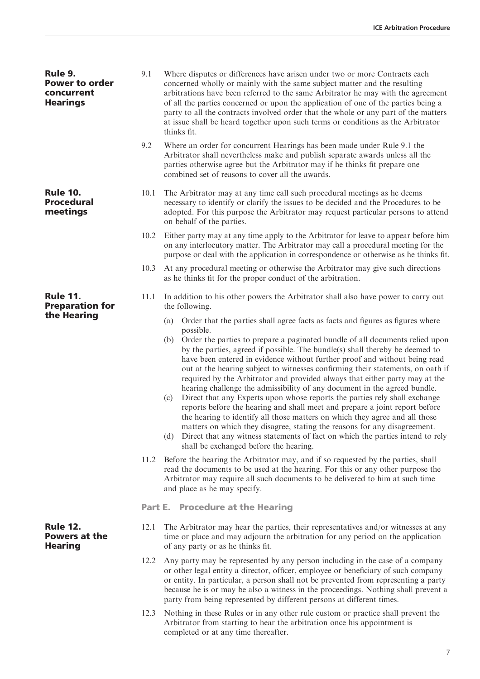| Rule 9.<br><b>Power to order</b><br>concurrent<br><b>Hearings</b> | 9.1                                     | Where disputes or differences have arisen under two or more Contracts each<br>concerned wholly or mainly with the same subject matter and the resulting<br>arbitrations have been referred to the same Arbitrator he may with the agreement<br>of all the parties concerned or upon the application of one of the parties being a<br>party to all the contracts involved order that the whole or any part of the matters<br>at issue shall be heard together upon such terms or conditions as the Arbitrator<br>thinks fit.                                                                                                                                                                                                                                                                                                                                                                                                                                                                                                                                            |  |
|-------------------------------------------------------------------|-----------------------------------------|------------------------------------------------------------------------------------------------------------------------------------------------------------------------------------------------------------------------------------------------------------------------------------------------------------------------------------------------------------------------------------------------------------------------------------------------------------------------------------------------------------------------------------------------------------------------------------------------------------------------------------------------------------------------------------------------------------------------------------------------------------------------------------------------------------------------------------------------------------------------------------------------------------------------------------------------------------------------------------------------------------------------------------------------------------------------|--|
|                                                                   | 9.2                                     | Where an order for concurrent Hearings has been made under Rule 9.1 the<br>Arbitrator shall nevertheless make and publish separate awards unless all the<br>parties otherwise agree but the Arbitrator may if he thinks fit prepare one<br>combined set of reasons to cover all the awards.                                                                                                                                                                                                                                                                                                                                                                                                                                                                                                                                                                                                                                                                                                                                                                            |  |
| <b>Rule 10.</b><br><b>Procedural</b><br>meetings                  | 10.1                                    | The Arbitrator may at any time call such procedural meetings as he deems<br>necessary to identify or clarify the issues to be decided and the Procedures to be<br>adopted. For this purpose the Arbitrator may request particular persons to attend<br>on behalf of the parties.                                                                                                                                                                                                                                                                                                                                                                                                                                                                                                                                                                                                                                                                                                                                                                                       |  |
|                                                                   | 10.2                                    | Either party may at any time apply to the Arbitrator for leave to appear before him<br>on any interlocutory matter. The Arbitrator may call a procedural meeting for the<br>purpose or deal with the application in correspondence or otherwise as he thinks fit.                                                                                                                                                                                                                                                                                                                                                                                                                                                                                                                                                                                                                                                                                                                                                                                                      |  |
|                                                                   | 10.3                                    | At any procedural meeting or otherwise the Arbitrator may give such directions<br>as he thinks fit for the proper conduct of the arbitration.                                                                                                                                                                                                                                                                                                                                                                                                                                                                                                                                                                                                                                                                                                                                                                                                                                                                                                                          |  |
| <b>Rule 11.</b><br><b>Preparation for</b>                         | 11.1                                    | In addition to his other powers the Arbitrator shall also have power to carry out<br>the following.                                                                                                                                                                                                                                                                                                                                                                                                                                                                                                                                                                                                                                                                                                                                                                                                                                                                                                                                                                    |  |
| the Hearing                                                       |                                         | Order that the parties shall agree facts as facts and figures as figures where<br>(a)<br>possible.<br>Order the parties to prepare a paginated bundle of all documents relied upon<br>(b)<br>by the parties, agreed if possible. The bundle(s) shall thereby be deemed to<br>have been entered in evidence without further proof and without being read<br>out at the hearing subject to witnesses confirming their statements, on oath if<br>required by the Arbitrator and provided always that either party may at the<br>hearing challenge the admissibility of any document in the agreed bundle.<br>Direct that any Experts upon whose reports the parties rely shall exchange<br>(c)<br>reports before the hearing and shall meet and prepare a joint report before<br>the hearing to identify all those matters on which they agree and all those<br>matters on which they disagree, stating the reasons for any disagreement.<br>(d) Direct that any witness statements of fact on which the parties intend to rely<br>shall be exchanged before the hearing. |  |
|                                                                   | 11.2                                    | Before the hearing the Arbitrator may, and if so requested by the parties, shall<br>read the documents to be used at the hearing. For this or any other purpose the<br>Arbitrator may require all such documents to be delivered to him at such time<br>and place as he may specify.                                                                                                                                                                                                                                                                                                                                                                                                                                                                                                                                                                                                                                                                                                                                                                                   |  |
|                                                                   | <b>Part E. Procedure at the Hearing</b> |                                                                                                                                                                                                                                                                                                                                                                                                                                                                                                                                                                                                                                                                                                                                                                                                                                                                                                                                                                                                                                                                        |  |
| <b>Rule 12.</b><br><b>Powers at the</b><br><b>Hearing</b>         | 12.1                                    | The Arbitrator may hear the parties, their representatives and/or witnesses at any<br>time or place and may adjourn the arbitration for any period on the application<br>of any party or as he thinks fit.                                                                                                                                                                                                                                                                                                                                                                                                                                                                                                                                                                                                                                                                                                                                                                                                                                                             |  |
|                                                                   | 12.2                                    | Any party may be represented by any person including in the case of a company<br>or other legal entity a director, officer, employee or beneficiary of such company<br>or entity. In particular, a person shall not be prevented from representing a party<br>because he is or may be also a witness in the proceedings. Nothing shall prevent a<br>party from being represented by different persons at different times.                                                                                                                                                                                                                                                                                                                                                                                                                                                                                                                                                                                                                                              |  |
|                                                                   | 12.3                                    | Nothing in these Rules or in any other rule custom or practice shall prevent the<br>Arbitrator from starting to hear the arbitration once his appointment is                                                                                                                                                                                                                                                                                                                                                                                                                                                                                                                                                                                                                                                                                                                                                                                                                                                                                                           |  |

completed or at any time thereafter.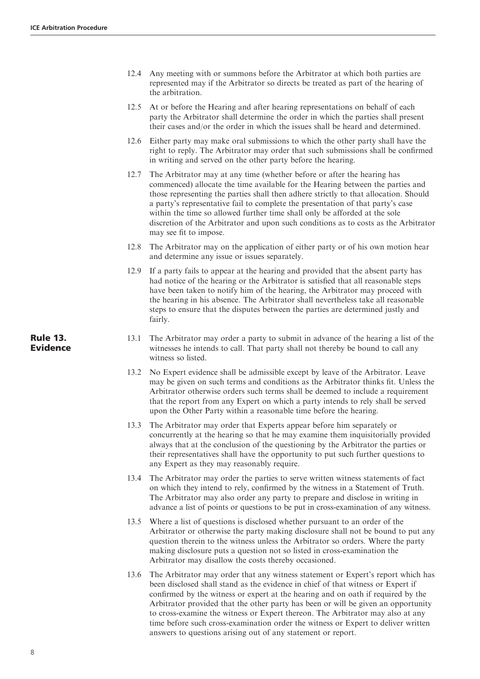- 12.4 Any meeting with or summons before the Arbitrator at which both parties are represented may if the Arbitrator so directs be treated as part of the hearing of the arbitration.
- 12.5 At or before the Hearing and after hearing representations on behalf of each party the Arbitrator shall determine the order in which the parties shall present their cases and/or the order in which the issues shall be heard and determined.
- 12.6 Either party may make oral submissions to which the other party shall have the right to reply. The Arbitrator may order that such submissions shall be confirmed in writing and served on the other party before the hearing.
- 12.7 The Arbitrator may at any time (whether before or after the hearing has commenced) allocate the time available for the Hearing between the parties and those representing the parties shall then adhere strictly to that allocation. Should a party's representative fail to complete the presentation of that party's case within the time so allowed further time shall only be afforded at the sole discretion of the Arbitrator and upon such conditions as to costs as the Arbitrator may see fit to impose.
- 12.8 The Arbitrator may on the application of either party or of his own motion hear and determine any issue or issues separately.
- 12.9 If a party fails to appear at the hearing and provided that the absent party has had notice of the hearing or the Arbitrator is satisfied that all reasonable steps have been taken to notify him of the hearing, the Arbitrator may proceed with the hearing in his absence. The Arbitrator shall nevertheless take all reasonable steps to ensure that the disputes between the parties are determined justly and fairly.
- 13.1 The Arbitrator may order a party to submit in advance of the hearing a list of the witnesses he intends to call. That party shall not thereby be bound to call any witness so listed.
- 13.2 No Expert evidence shall be admissible except by leave of the Arbitrator. Leave may be given on such terms and conditions as the Arbitrator thinks fit. Unless the Arbitrator otherwise orders such terms shall be deemed to include a requirement that the report from any Expert on which a party intends to rely shall be served upon the Other Party within a reasonable time before the hearing.
- 13.3 The Arbitrator may order that Experts appear before him separately or concurrently at the hearing so that he may examine them inquisitorially provided always that at the conclusion of the questioning by the Arbitrator the parties or their representatives shall have the opportunity to put such further questions to any Expert as they may reasonably require.
- 13.4 The Arbitrator may order the parties to serve written witness statements of fact on which they intend to rely, confirmed by the witness in a Statement of Truth. The Arbitrator may also order any party to prepare and disclose in writing in advance a list of points or questions to be put in cross-examination of any witness.
- 13.5 Where a list of questions is disclosed whether pursuant to an order of the Arbitrator or otherwise the party making disclosure shall not be bound to put any question therein to the witness unless the Arbitrator so orders. Where the party making disclosure puts a question not so listed in cross-examination the Arbitrator may disallow the costs thereby occasioned.
- 13.6 The Arbitrator may order that any witness statement or Expert's report which has been disclosed shall stand as the evidence in chief of that witness or Expert if confirmed by the witness or expert at the hearing and on oath if required by the Arbitrator provided that the other party has been or will be given an opportunity to cross-examine the witness or Expert thereon. The Arbitrator may also at any time before such cross-examination order the witness or Expert to deliver written answers to questions arising out of any statement or report.

Rule 13. Evidence

8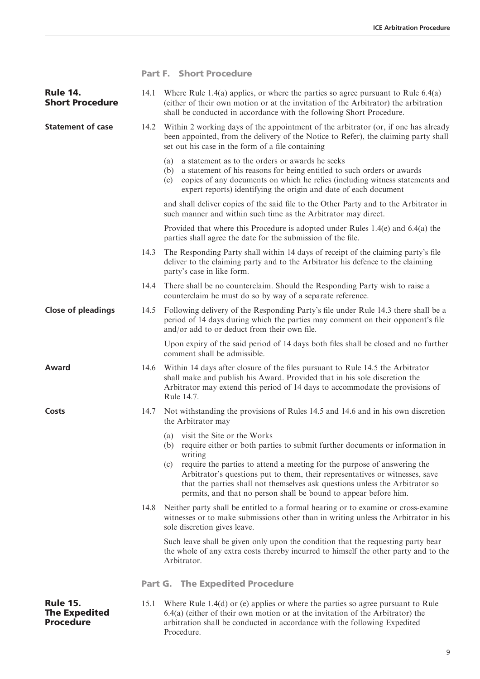|                                                             |      | <b>Part F. Short Procedure</b>                                                                                                                                                                                                                                                                                      |
|-------------------------------------------------------------|------|---------------------------------------------------------------------------------------------------------------------------------------------------------------------------------------------------------------------------------------------------------------------------------------------------------------------|
| <b>Rule 14.</b><br><b>Short Procedure</b>                   | 14.1 | Where Rule 1.4(a) applies, or where the parties so agree pursuant to Rule $6.4(a)$<br>(either of their own motion or at the invitation of the Arbitrator) the arbitration<br>shall be conducted in accordance with the following Short Procedure.                                                                   |
| <b>Statement of case</b>                                    | 14.2 | Within 2 working days of the appointment of the arbitrator (or, if one has already<br>been appointed, from the delivery of the Notice to Refer), the claiming party shall<br>set out his case in the form of a file containing                                                                                      |
|                                                             |      | a statement as to the orders or awards he seeks<br>(a)<br>a statement of his reasons for being entitled to such orders or awards<br>(b)<br>copies of any documents on which he relies (including witness statements and<br>(c)<br>expert reports) identifying the origin and date of each document                  |
|                                                             |      | and shall deliver copies of the said file to the Other Party and to the Arbitrator in<br>such manner and within such time as the Arbitrator may direct.                                                                                                                                                             |
|                                                             |      | Provided that where this Procedure is adopted under Rules $1.4(e)$ and $6.4(a)$ the<br>parties shall agree the date for the submission of the file.                                                                                                                                                                 |
|                                                             | 14.3 | The Responding Party shall within 14 days of receipt of the claiming party's file<br>deliver to the claiming party and to the Arbitrator his defence to the claiming<br>party's case in like form.                                                                                                                  |
|                                                             | 14.4 | There shall be no counterclaim. Should the Responding Party wish to raise a<br>counterclaim he must do so by way of a separate reference.                                                                                                                                                                           |
| <b>Close of pleadings</b>                                   | 14.5 | Following delivery of the Responding Party's file under Rule 14.3 there shall be a<br>period of 14 days during which the parties may comment on their opponent's file<br>and/or add to or deduct from their own file.                                                                                               |
|                                                             |      | Upon expiry of the said period of 14 days both files shall be closed and no further<br>comment shall be admissible.                                                                                                                                                                                                 |
| Award                                                       | 14.6 | Within 14 days after closure of the files pursuant to Rule 14.5 the Arbitrator<br>shall make and publish his Award. Provided that in his sole discretion the<br>Arbitrator may extend this period of 14 days to accommodate the provisions of<br>Rule 14.7.                                                         |
| Costs                                                       | 14.7 | Not withstanding the provisions of Rules 14.5 and 14.6 and in his own discretion<br>the Arbitrator may                                                                                                                                                                                                              |
|                                                             |      | visit the Site or the Works<br>(a)<br>(b) require either or both parties to submit further documents or information in<br>writing                                                                                                                                                                                   |
|                                                             |      | require the parties to attend a meeting for the purpose of answering the<br>(c)<br>Arbitrator's questions put to them, their representatives or witnesses, save<br>that the parties shall not themselves ask questions unless the Arbitrator so<br>permits, and that no person shall be bound to appear before him. |
|                                                             | 14.8 | Neither party shall be entitled to a formal hearing or to examine or cross-examine<br>witnesses or to make submissions other than in writing unless the Arbitrator in his<br>sole discretion gives leave.                                                                                                           |
|                                                             |      | Such leave shall be given only upon the condition that the requesting party bear<br>the whole of any extra costs thereby incurred to himself the other party and to the<br>Arbitrator.                                                                                                                              |
|                                                             |      | <b>Part G. The Expedited Procedure</b>                                                                                                                                                                                                                                                                              |
| <b>Rule 15.</b><br><b>The Expedited</b><br><b>Procedure</b> | 15.1 | Where Rule 1.4(d) or (e) applies or where the parties so agree pursuant to Rule<br>$6.4(a)$ (either of their own motion or at the invitation of the Arbitrator) the<br>arbitration shall be conducted in accordance with the following Expedited<br>Procedure.                                                      |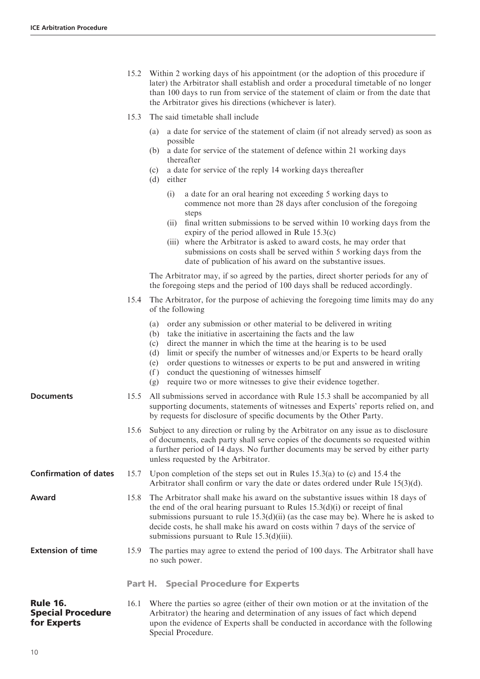|                                                            |         | 15.2 Within 2 working days of his appointment (or the adoption of this procedure if<br>later) the Arbitrator shall establish and order a procedural timetable of no longer<br>than 100 days to run from service of the statement of claim or from the date that<br>the Arbitrator gives his directions (whichever is later).                                                                                                                                                                                                  |
|------------------------------------------------------------|---------|-------------------------------------------------------------------------------------------------------------------------------------------------------------------------------------------------------------------------------------------------------------------------------------------------------------------------------------------------------------------------------------------------------------------------------------------------------------------------------------------------------------------------------|
|                                                            | 15.3    | The said timetable shall include                                                                                                                                                                                                                                                                                                                                                                                                                                                                                              |
|                                                            |         | (a) a date for service of the statement of claim (if not already served) as soon as<br>possible<br>(b) a date for service of the statement of defence within 21 working days<br>thereafter<br>a date for service of the reply 14 working days thereafter<br>(c)                                                                                                                                                                                                                                                               |
|                                                            |         | either<br>(d)                                                                                                                                                                                                                                                                                                                                                                                                                                                                                                                 |
|                                                            |         | a date for an oral hearing not exceeding 5 working days to<br>(i)<br>commence not more than 28 days after conclusion of the foregoing<br>steps<br>(ii) final written submissions to be served within 10 working days from the<br>expiry of the period allowed in Rule $15.3(c)$<br>(iii) where the Arbitrator is asked to award costs, he may order that<br>submissions on costs shall be served within 5 working days from the<br>date of publication of his award on the substantive issues.                                |
|                                                            |         | The Arbitrator may, if so agreed by the parties, direct shorter periods for any of<br>the foregoing steps and the period of 100 days shall be reduced accordingly.                                                                                                                                                                                                                                                                                                                                                            |
|                                                            | 15.4    | The Arbitrator, for the purpose of achieving the foregoing time limits may do any<br>of the following                                                                                                                                                                                                                                                                                                                                                                                                                         |
|                                                            |         | order any submission or other material to be delivered in writing<br>(a)<br>(b) take the initiative in ascertaining the facts and the law<br>direct the manner in which the time at the hearing is to be used<br>(c)<br>limit or specify the number of witnesses and/or Experts to be heard orally<br>(d)<br>order questions to witnesses or experts to be put and answered in writing<br>(e)<br>conduct the questioning of witnesses himself<br>(f)<br>require two or more witnesses to give their evidence together.<br>(g) |
| <b>Documents</b>                                           | 15.5    | All submissions served in accordance with Rule 15.3 shall be accompanied by all<br>supporting documents, statements of witnesses and Experts' reports relied on, and<br>by requests for disclosure of specific documents by the Other Party.                                                                                                                                                                                                                                                                                  |
|                                                            |         | 15.6 Subject to any direction or ruling by the Arbitrator on any issue as to disclosure<br>of documents, each party shall serve copies of the documents so requested within<br>a further period of 14 days. No further documents may be served by either party<br>unless requested by the Arbitrator.                                                                                                                                                                                                                         |
| <b>Confirmation of dates</b>                               | 15.7    | Upon completion of the steps set out in Rules $15.3(a)$ to (c) and $15.4$ the<br>Arbitrator shall confirm or vary the date or dates ordered under Rule $15(3)(d)$ .                                                                                                                                                                                                                                                                                                                                                           |
| Award                                                      | 15.8    | The Arbitrator shall make his award on the substantive issues within 18 days of<br>the end of the oral hearing pursuant to Rules $15.3(d)(i)$ or receipt of final<br>submissions pursuant to rule $15.3(d)(ii)$ (as the case may be). Where he is asked to<br>decide costs, he shall make his award on costs within 7 days of the service of<br>submissions pursuant to Rule $15.3(d)(iii)$ .                                                                                                                                 |
| <b>Extension of time</b>                                   | 15.9    | The parties may agree to extend the period of 100 days. The Arbitrator shall have<br>no such power.                                                                                                                                                                                                                                                                                                                                                                                                                           |
|                                                            | Part H. | <b>Special Procedure for Experts</b>                                                                                                                                                                                                                                                                                                                                                                                                                                                                                          |
| <b>Rule 16.</b><br><b>Special Procedure</b><br>for Experts | 16.1    | Where the parties so agree (either of their own motion or at the invitation of the<br>Arbitrator) the hearing and determination of any issues of fact which depend<br>upon the evidence of Experts shall be conducted in accordance with the following<br>Special Procedure.                                                                                                                                                                                                                                                  |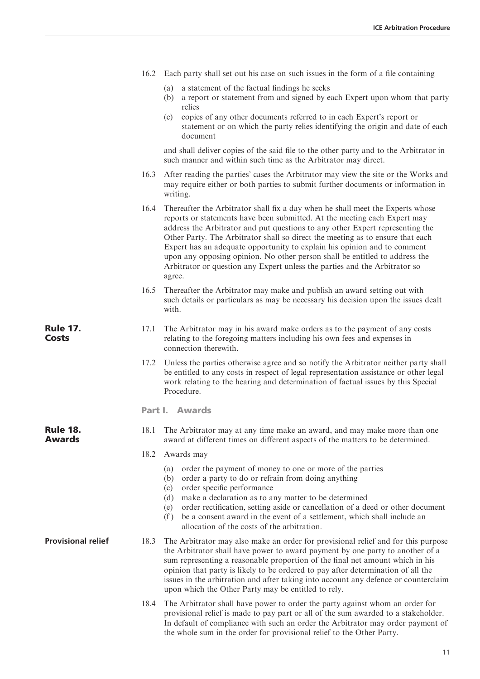|                           |      | 16.2 Each party shall set out his case on such issues in the form of a file containing                                                                                                                                                                                                                                                                                                                                                                                                                                                                                            |
|---------------------------|------|-----------------------------------------------------------------------------------------------------------------------------------------------------------------------------------------------------------------------------------------------------------------------------------------------------------------------------------------------------------------------------------------------------------------------------------------------------------------------------------------------------------------------------------------------------------------------------------|
|                           |      | (a) a statement of the factual findings he seeks<br>(b) a report or statement from and signed by each Expert upon whom that party<br>relies<br>copies of any other documents referred to in each Expert's report or<br>(c)<br>statement or on which the party relies identifying the origin and date of each<br>document                                                                                                                                                                                                                                                          |
|                           |      | and shall deliver copies of the said file to the other party and to the Arbitrator in<br>such manner and within such time as the Arbitrator may direct.                                                                                                                                                                                                                                                                                                                                                                                                                           |
|                           | 16.3 | After reading the parties' cases the Arbitrator may view the site or the Works and<br>may require either or both parties to submit further documents or information in<br>writing.                                                                                                                                                                                                                                                                                                                                                                                                |
|                           | 16.4 | Thereafter the Arbitrator shall fix a day when he shall meet the Experts whose<br>reports or statements have been submitted. At the meeting each Expert may<br>address the Arbitrator and put questions to any other Expert representing the<br>Other Party. The Arbitrator shall so direct the meeting as to ensure that each<br>Expert has an adequate opportunity to explain his opinion and to comment<br>upon any opposing opinion. No other person shall be entitled to address the<br>Arbitrator or question any Expert unless the parties and the Arbitrator so<br>agree. |
|                           | 16.5 | Thereafter the Arbitrator may make and publish an award setting out with<br>such details or particulars as may be necessary his decision upon the issues dealt<br>with.                                                                                                                                                                                                                                                                                                                                                                                                           |
| <b>Rule 17.</b><br>Costs  | 17.1 | The Arbitrator may in his award make orders as to the payment of any costs<br>relating to the foregoing matters including his own fees and expenses in<br>connection therewith.                                                                                                                                                                                                                                                                                                                                                                                                   |
|                           | 17.2 | Unless the parties otherwise agree and so notify the Arbitrator neither party shall<br>be entitled to any costs in respect of legal representation assistance or other legal<br>work relating to the hearing and determination of factual issues by this Special<br>Procedure.                                                                                                                                                                                                                                                                                                    |
|                           |      | <b>Part I. Awards</b>                                                                                                                                                                                                                                                                                                                                                                                                                                                                                                                                                             |
| Rule 18<br><b>Awards</b>  |      | 18.1 The Arbitrator may at any time make an award, and may make more than one<br>award at different times on different aspects of the matters to be determined.                                                                                                                                                                                                                                                                                                                                                                                                                   |
|                           | 18.2 | Awards may                                                                                                                                                                                                                                                                                                                                                                                                                                                                                                                                                                        |
|                           |      | order the payment of money to one or more of the parties<br>(a)<br>order a party to do or refrain from doing anything<br>(b)<br>order specific performance<br>(c)<br>make a declaration as to any matter to be determined<br>(d)<br>order rectification, setting aside or cancellation of a deed or other document<br>(e)<br>be a consent award in the event of a settlement, which shall include an<br>(f)<br>allocation of the costs of the arbitration.                                                                                                                        |
| <b>Provisional relief</b> | 18.3 | The Arbitrator may also make an order for provisional relief and for this purpose<br>the Arbitrator shall have power to award payment by one party to another of a<br>sum representing a reasonable proportion of the final net amount which in his<br>opinion that party is likely to be ordered to pay after determination of all the<br>issues in the arbitration and after taking into account any defence or counterclaim<br>upon which the Other Party may be entitled to rely.                                                                                             |
|                           | 18.4 | The Arbitrator shall have power to order the party against whom an order for<br>provisional relief is made to pay part or all of the sum awarded to a stakeholder.<br>In default of compliance with such an order the Arbitrator may order payment of                                                                                                                                                                                                                                                                                                                             |

the whole sum in the order for provisional relief to the Other Party.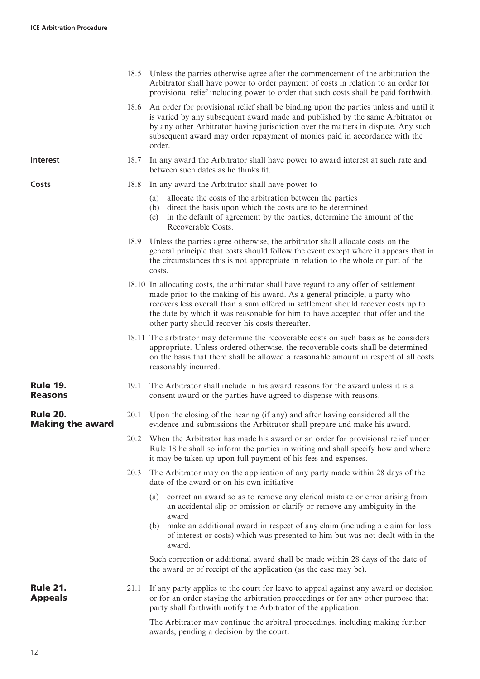|                                            | 18.5 | Unless the parties otherwise agree after the commencement of the arbitration the<br>Arbitrator shall have power to order payment of costs in relation to an order for<br>provisional relief including power to order that such costs shall be paid forthwith.                                                                                                                                    |
|--------------------------------------------|------|--------------------------------------------------------------------------------------------------------------------------------------------------------------------------------------------------------------------------------------------------------------------------------------------------------------------------------------------------------------------------------------------------|
|                                            | 18.6 | An order for provisional relief shall be binding upon the parties unless and until it<br>is varied by any subsequent award made and published by the same Arbitrator or<br>by any other Arbitrator having jurisdiction over the matters in dispute. Any such<br>subsequent award may order repayment of monies paid in accordance with the<br>order.                                             |
| <b>Interest</b>                            | 18.7 | In any award the Arbitrator shall have power to award interest at such rate and<br>between such dates as he thinks fit.                                                                                                                                                                                                                                                                          |
| Costs                                      | 18.8 | In any award the Arbitrator shall have power to                                                                                                                                                                                                                                                                                                                                                  |
|                                            |      | allocate the costs of the arbitration between the parties<br>(a)<br>direct the basis upon which the costs are to be determined<br>(b)<br>in the default of agreement by the parties, determine the amount of the<br>(c)<br>Recoverable Costs.                                                                                                                                                    |
|                                            | 18.9 | Unless the parties agree otherwise, the arbitrator shall allocate costs on the<br>general principle that costs should follow the event except where it appears that in<br>the circumstances this is not appropriate in relation to the whole or part of the<br>costs.                                                                                                                            |
|                                            |      | 18.10 In allocating costs, the arbitrator shall have regard to any offer of settlement<br>made prior to the making of his award. As a general principle, a party who<br>recovers less overall than a sum offered in settlement should recover costs up to<br>the date by which it was reasonable for him to have accepted that offer and the<br>other party should recover his costs thereafter. |
|                                            |      | 18.11 The arbitrator may determine the recoverable costs on such basis as he considers<br>appropriate. Unless ordered otherwise, the recoverable costs shall be determined<br>on the basis that there shall be allowed a reasonable amount in respect of all costs<br>reasonably incurred.                                                                                                       |
| <b>Rule 19.</b><br><b>Reasons</b>          | 19.1 | The Arbitrator shall include in his award reasons for the award unless it is a<br>consent award or the parties have agreed to dispense with reasons.                                                                                                                                                                                                                                             |
| <b>Rule 20.</b><br><b>Making the award</b> | 20.1 | Upon the closing of the hearing (if any) and after having considered all the<br>evidence and submissions the Arbitrator shall prepare and make his award.                                                                                                                                                                                                                                        |
|                                            |      | 20.2 When the Arbitrator has made his award or an order for provisional relief under<br>Rule 18 he shall so inform the parties in writing and shall specify how and where<br>it may be taken up upon full payment of his fees and expenses.                                                                                                                                                      |
|                                            | 20.3 | The Arbitrator may on the application of any party made within 28 days of the<br>date of the award or on his own initiative                                                                                                                                                                                                                                                                      |
|                                            |      | (a) correct an award so as to remove any clerical mistake or error arising from<br>an accidental slip or omission or clarify or remove any ambiguity in the<br>award<br>make an additional award in respect of any claim (including a claim for loss<br>(b)                                                                                                                                      |
|                                            |      | of interest or costs) which was presented to him but was not dealt with in the<br>award.                                                                                                                                                                                                                                                                                                         |
|                                            |      | Such correction or additional award shall be made within 28 days of the date of<br>the award or of receipt of the application (as the case may be).                                                                                                                                                                                                                                              |
| <b>Rule 21.</b><br><b>Appeals</b>          | 21.1 | If any party applies to the court for leave to appeal against any award or decision<br>or for an order staying the arbitration proceedings or for any other purpose that<br>party shall forthwith notify the Arbitrator of the application.                                                                                                                                                      |
|                                            |      | The Arbitrator may continue the arbitral proceedings, including making further                                                                                                                                                                                                                                                                                                                   |

awards, pending a decision by the court.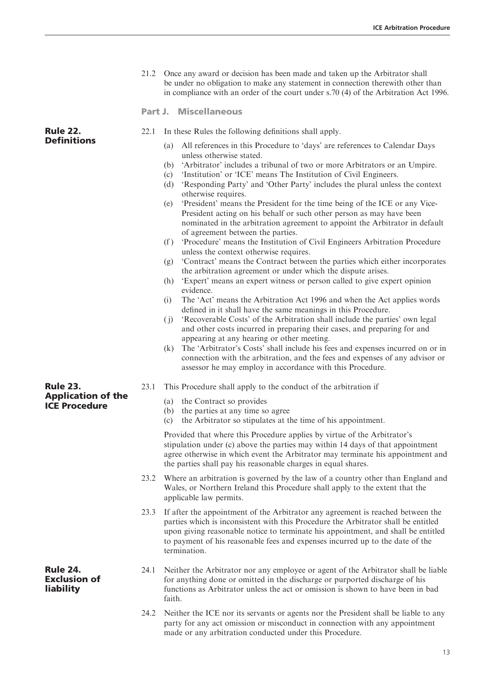|                                                                      |         | 21.2 Once any award or decision has been made and taken up the Arbitrator shall<br>be under no obligation to make any statement in connection therewith other than<br>in compliance with an order of the court under s.70 (4) of the Arbitration Act 1996.                                                                                                                                                                                                                                                                                                                                                                                                                                                                                                                                                                                                                                                                                                                                                                                                                                                                                                                                                                                                                                                                                                                                                                                                                                                                                                                                                                                                               |
|----------------------------------------------------------------------|---------|--------------------------------------------------------------------------------------------------------------------------------------------------------------------------------------------------------------------------------------------------------------------------------------------------------------------------------------------------------------------------------------------------------------------------------------------------------------------------------------------------------------------------------------------------------------------------------------------------------------------------------------------------------------------------------------------------------------------------------------------------------------------------------------------------------------------------------------------------------------------------------------------------------------------------------------------------------------------------------------------------------------------------------------------------------------------------------------------------------------------------------------------------------------------------------------------------------------------------------------------------------------------------------------------------------------------------------------------------------------------------------------------------------------------------------------------------------------------------------------------------------------------------------------------------------------------------------------------------------------------------------------------------------------------------|
|                                                                      | Part J. | <b>Miscellaneous</b>                                                                                                                                                                                                                                                                                                                                                                                                                                                                                                                                                                                                                                                                                                                                                                                                                                                                                                                                                                                                                                                                                                                                                                                                                                                                                                                                                                                                                                                                                                                                                                                                                                                     |
| <b>Rule 22.</b>                                                      | 22.1    | In these Rules the following definitions shall apply.                                                                                                                                                                                                                                                                                                                                                                                                                                                                                                                                                                                                                                                                                                                                                                                                                                                                                                                                                                                                                                                                                                                                                                                                                                                                                                                                                                                                                                                                                                                                                                                                                    |
| <b>Definitions</b>                                                   |         | All references in this Procedure to 'days' are references to Calendar Days<br>(a)<br>unless otherwise stated.<br>'Arbitrator' includes a tribunal of two or more Arbitrators or an Umpire.<br>(b)<br>'Institution' or 'ICE' means The Institution of Civil Engineers.<br>(c)<br>'Responding Party' and 'Other Party' includes the plural unless the context<br>(d)<br>otherwise requires.<br>'President' means the President for the time being of the ICE or any Vice-<br>(e)<br>President acting on his behalf or such other person as may have been<br>nominated in the arbitration agreement to appoint the Arbitrator in default<br>of agreement between the parties.<br>'Procedure' means the Institution of Civil Engineers Arbitration Procedure<br>(f)<br>unless the context otherwise requires.<br>'Contract' means the Contract between the parties which either incorporates<br>(g)<br>the arbitration agreement or under which the dispute arises.<br>'Expert' means an expert witness or person called to give expert opinion<br>(h)<br>evidence.<br>The 'Act' means the Arbitration Act 1996 and when the Act applies words<br>(i)<br>defined in it shall have the same meanings in this Procedure.<br>'Recoverable Costs' of the Arbitration shall include the parties' own legal<br>(j)<br>and other costs incurred in preparing their cases, and preparing for and<br>appearing at any hearing or other meeting.<br>The 'Arbitrator's Costs' shall include his fees and expenses incurred on or in<br>(k)<br>connection with the arbitration, and the fees and expenses of any advisor or<br>assessor he may employ in accordance with this Procedure. |
| <b>Rule 23.</b><br><b>Application of the</b><br><b>ICE Procedure</b> | 23.1    | This Procedure shall apply to the conduct of the arbitration if<br>the Contract so provides<br>(a)<br>the parties at any time so agree<br>(b)<br>the Arbitrator so stipulates at the time of his appointment.<br>(c)                                                                                                                                                                                                                                                                                                                                                                                                                                                                                                                                                                                                                                                                                                                                                                                                                                                                                                                                                                                                                                                                                                                                                                                                                                                                                                                                                                                                                                                     |
|                                                                      |         | Provided that where this Procedure applies by virtue of the Arbitrator's<br>stipulation under (c) above the parties may within 14 days of that appointment<br>agree otherwise in which event the Arbitrator may terminate his appointment and<br>the parties shall pay his reasonable charges in equal shares.                                                                                                                                                                                                                                                                                                                                                                                                                                                                                                                                                                                                                                                                                                                                                                                                                                                                                                                                                                                                                                                                                                                                                                                                                                                                                                                                                           |
|                                                                      | 23.2    | Where an arbitration is governed by the law of a country other than England and<br>Wales, or Northern Ireland this Procedure shall apply to the extent that the<br>applicable law permits.                                                                                                                                                                                                                                                                                                                                                                                                                                                                                                                                                                                                                                                                                                                                                                                                                                                                                                                                                                                                                                                                                                                                                                                                                                                                                                                                                                                                                                                                               |
|                                                                      | 23.3    | If after the appointment of the Arbitrator any agreement is reached between the<br>parties which is inconsistent with this Procedure the Arbitrator shall be entitled<br>upon giving reasonable notice to terminate his appointment, and shall be entitled<br>to payment of his reasonable fees and expenses incurred up to the date of the<br>termination.                                                                                                                                                                                                                                                                                                                                                                                                                                                                                                                                                                                                                                                                                                                                                                                                                                                                                                                                                                                                                                                                                                                                                                                                                                                                                                              |
| <b>Rule 24.</b><br><b>Exclusion of</b><br><b>liability</b>           | 24.1    | Neither the Arbitrator nor any employee or agent of the Arbitrator shall be liable<br>for anything done or omitted in the discharge or purported discharge of his<br>functions as Arbitrator unless the act or omission is shown to have been in bad<br>faith.                                                                                                                                                                                                                                                                                                                                                                                                                                                                                                                                                                                                                                                                                                                                                                                                                                                                                                                                                                                                                                                                                                                                                                                                                                                                                                                                                                                                           |
|                                                                      | 24.2    | Neither the ICE nor its servants or agents nor the President shall be liable to any<br>party for any act omission or misconduct in connection with any appointment<br>made or any arbitration conducted under this Procedure.                                                                                                                                                                                                                                                                                                                                                                                                                                                                                                                                                                                                                                                                                                                                                                                                                                                                                                                                                                                                                                                                                                                                                                                                                                                                                                                                                                                                                                            |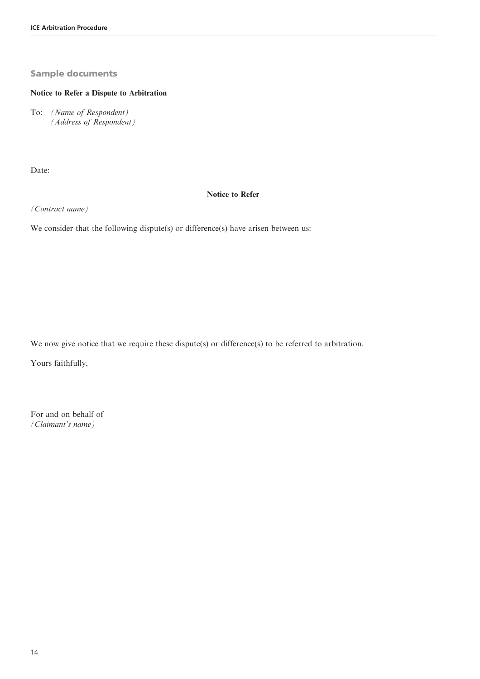# Sample documents

# Notice to Refer a Dispute to Arbitration

To: (Name of Respondent) (Address of Respondent)

Date:

## Notice to Refer

(Contract name)

We consider that the following dispute(s) or difference(s) have arisen between us:

We now give notice that we require these dispute(s) or difference(s) to be referred to arbitration.

Yours faithfully,

For and on behalf of (Claimant's name)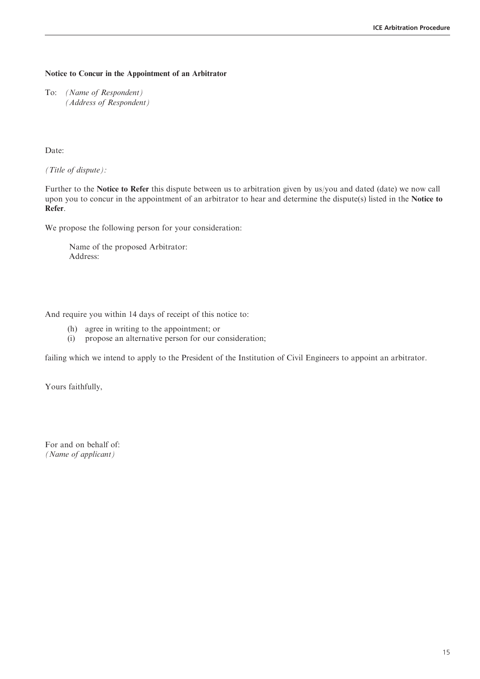#### Notice to Concur in the Appointment of an Arbitrator

To: (Name of Respondent) (Address of Respondent)

Date:

(Title of dispute):

Further to the Notice to Refer this dispute between us to arbitration given by us/you and dated (date) we now call upon you to concur in the appointment of an arbitrator to hear and determine the dispute(s) listed in the Notice to Refer.

We propose the following person for your consideration:

Name of the proposed Arbitrator: Address:

And require you within 14 days of receipt of this notice to:

- (h) agree in writing to the appointment; or
- (i) propose an alternative person for our consideration;

failing which we intend to apply to the President of the Institution of Civil Engineers to appoint an arbitrator.

Yours faithfully,

For and on behalf of: (Name of applicant)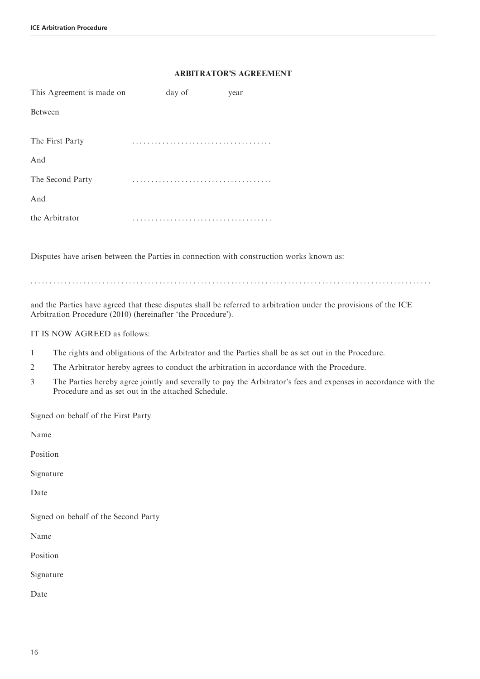#### ARBITRATOR'S AGREEMENT

| This Agreement is made on | day of | year |
|---------------------------|--------|------|
| <b>Between</b>            |        |      |
|                           |        |      |
| The First Party           |        |      |
| And                       |        |      |
| The Second Party          |        |      |
| And                       |        |      |
| the Arbitrator            |        |      |

Disputes have arisen between the Parties in connection with construction works known as:

and the Parties have agreed that these disputes shall be referred to arbitration under the provisions of the ICE Arbitration Procedure (2010) (hereinafter 'the Procedure').

## IT IS NOW AGREED as follows:

- 1 The rights and obligations of the Arbitrator and the Parties shall be as set out in the Procedure.
- 2 The Arbitrator hereby agrees to conduct the arbitration in accordance with the Procedure.
- 3 The Parties hereby agree jointly and severally to pay the Arbitrator's fees and expenses in accordance with the Procedure and as set out in the attached Schedule.

Signed on behalf of the First Party

Name Position Signature Date Signed on behalf of the Second Party Name Position Signature Date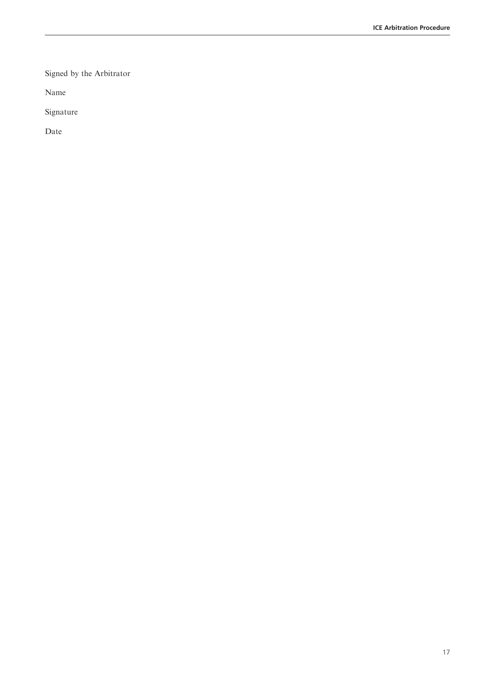Signed by the Arbitrator

Name

Signature

Date